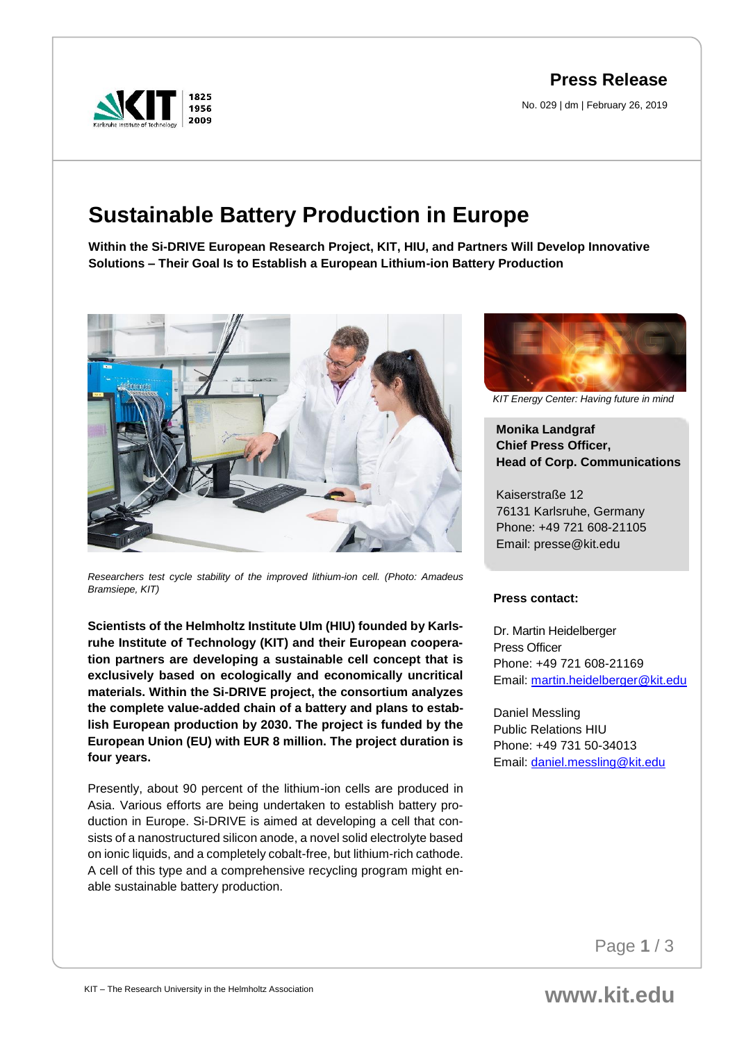**Press Release**

No. 029 | dm | February 26, 2019



# **Sustainable Battery Production in Europe**

**Within the Si-DRIVE European Research Project, KIT, HIU, and Partners Will Develop Innovative Solutions – Their Goal Is to Establish a European Lithium-ion Battery Production** 



*Researchers test cycle stability of the improved lithium-ion cell. (Photo: Amadeus Bramsiepe, KIT)*

**Scientists of the Helmholtz Institute Ulm (HIU) founded by Karlsruhe Institute of Technology (KIT) and their European cooperation partners are developing a sustainable cell concept that is exclusively based on ecologically and economically uncritical materials. Within the Si-DRIVE project, the consortium analyzes the complete value-added chain of a battery and plans to establish European production by 2030. The project is funded by the European Union (EU) with EUR 8 million. The project duration is four years.**

Presently, about 90 percent of the lithium-ion cells are produced in Asia. Various efforts are being undertaken to establish battery production in Europe. Si-DRIVE is aimed at developing a cell that consists of a nanostructured silicon anode, a novel solid electrolyte based on ionic liquids, and a completely cobalt-free, but lithium-rich cathode. A cell of this type and a comprehensive recycling program might enable sustainable battery production.



*KIT Energy Center: Having future in mind*

**Monika Landgraf Chief Press Officer, Head of Corp. Communications**

Kaiserstraße 12 76131 Karlsruhe, Germany Phone: +49 721 608-21105 Email: presse@kit.edu

### **Press contact:**

Dr. Martin Heidelberger Press Officer Phone: +49 721 608-21169 Email: [martin.heidelberger@kit.edu](mailto:martin.heidelberger@kit.edu)

Daniel Messling Public Relations HIU Phone: +49 731 50-34013 Email: [daniel.messling@kit.edu](mailto:daniel.messling@kit.edu)

Page **1** / 3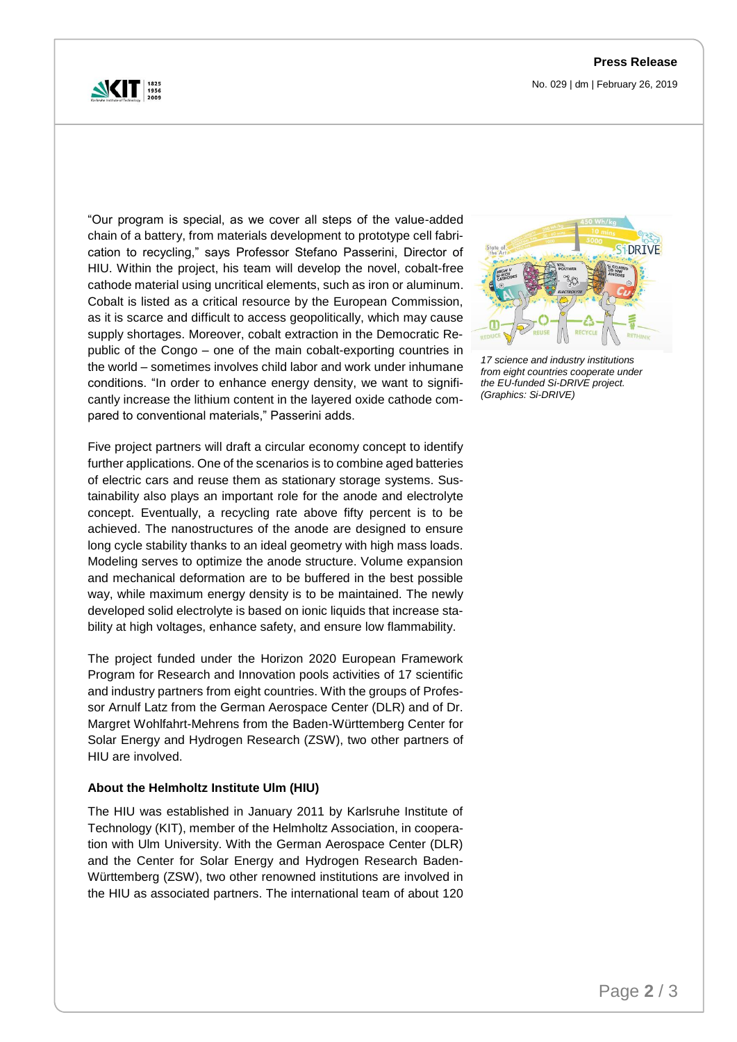

No. 029 | dm | February 26, 2019

"Our program is special, as we cover all steps of the value-added chain of a battery, from materials development to prototype cell fabrication to recycling," says Professor Stefano Passerini, Director of HIU. Within the project, his team will develop the novel, cobalt-free cathode material using uncritical elements, such as iron or aluminum. Cobalt is listed as a critical resource by the European Commission, as it is scarce and difficult to access geopolitically, which may cause supply shortages. Moreover, cobalt extraction in the Democratic Republic of the Congo – one of the main cobalt-exporting countries in the world – sometimes involves child labor and work under inhumane conditions. "In order to enhance energy density, we want to significantly increase the lithium content in the layered oxide cathode compared to conventional materials," Passerini adds.

Five project partners will draft a circular economy concept to identify further applications. One of the scenarios is to combine aged batteries of electric cars and reuse them as stationary storage systems. Sustainability also plays an important role for the anode and electrolyte concept. Eventually, a recycling rate above fifty percent is to be achieved. The nanostructures of the anode are designed to ensure long cycle stability thanks to an ideal geometry with high mass loads. Modeling serves to optimize the anode structure. Volume expansion and mechanical deformation are to be buffered in the best possible way, while maximum energy density is to be maintained. The newly developed solid electrolyte is based on ionic liquids that increase stability at high voltages, enhance safety, and ensure low flammability.

The project funded under the Horizon 2020 European Framework Program for Research and Innovation pools activities of 17 scientific and industry partners from eight countries. With the groups of Professor Arnulf Latz from the German Aerospace Center (DLR) and of Dr. Margret Wohlfahrt-Mehrens from the Baden-Württemberg Center for Solar Energy and Hydrogen Research (ZSW), two other partners of HIU are involved.

### **About the Helmholtz Institute Ulm (HIU)**

The HIU was established in January 2011 by Karlsruhe Institute of Technology (KIT), member of the Helmholtz Association, in cooperation with Ulm University. With the German Aerospace Center (DLR) and the Center for Solar Energy and Hydrogen Research Baden-Württemberg (ZSW), two other renowned institutions are involved in the HIU as associated partners. The international team of about 120



*17 science and industry institutions from eight countries cooperate under the EU-funded Si-DRIVE project. (Graphics: Si-DRIVE)*